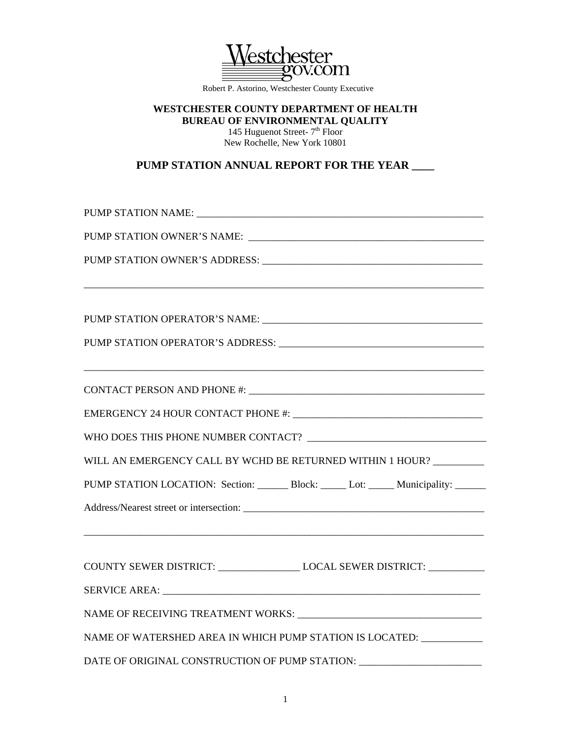

Robert P. Astorino, Westchester County Executive

## **WESTCHESTER COUNTY DEPARTMENT OF HEALTH BUREAU OF ENVIRONMENTAL QUALITY**

145 Huguenot Street- 7<sup>th</sup> Floor New Rochelle, New York 10801

**PUMP STATION ANNUAL REPORT FOR THE YEAR \_\_\_\_** 

| WILL AN EMERGENCY CALL BY WCHD BE RETURNED WITHIN 1 HOUR?                         |  |  |                                                                             |  |  |
|-----------------------------------------------------------------------------------|--|--|-----------------------------------------------------------------------------|--|--|
|                                                                                   |  |  | PUMP STATION LOCATION: Section: Block: _____ bot: _____ Municipality: _____ |  |  |
|                                                                                   |  |  |                                                                             |  |  |
| COUNTY SEWER DISTRICT: _________________________LOCAL SEWER DISTRICT: ___________ |  |  |                                                                             |  |  |
|                                                                                   |  |  |                                                                             |  |  |
|                                                                                   |  |  |                                                                             |  |  |
| NAME OF WATERSHED AREA IN WHICH PUMP STATION IS LOCATED: _____________            |  |  |                                                                             |  |  |
| DATE OF ORIGINAL CONSTRUCTION OF PUMP STATION: _________________________________  |  |  |                                                                             |  |  |

1